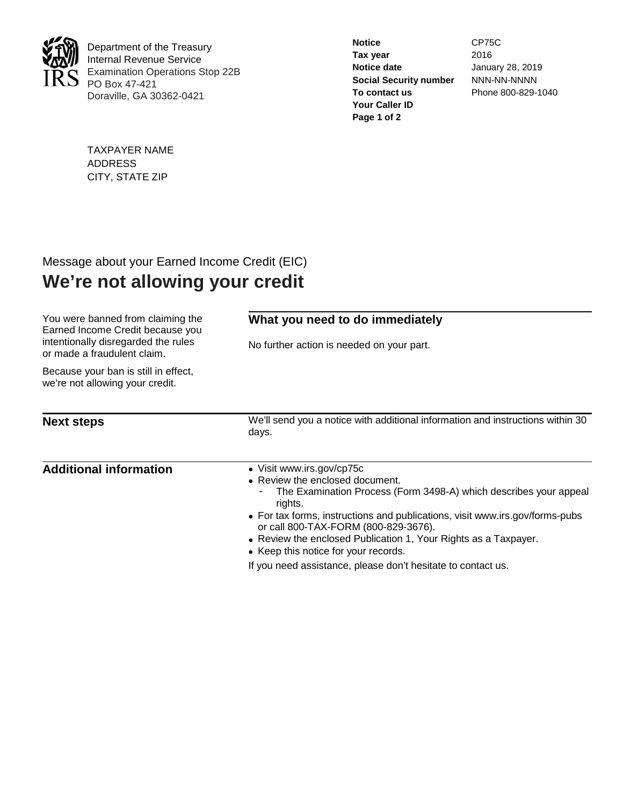

Department of the Treasury Internal Revenue Service Examination Operations Stop 22B PO Box 47-421 Doraville, GA 30362-0421

| January 28, 2019   |
|--------------------|
| NNN-NN-NNNN        |
| Phone 800-829-1040 |
|                    |
|                    |
|                    |

TAXPAYER NAME ADDRESS CITY, STATE ZIP

## Message about your Earned Income Credit (EIC) **We're not allowing your credit**

| You were banned from claiming the<br>Earned Income Credit because you<br>intentionally disregarded the rules<br>or made a fraudulent claim. | What you need to do immediately<br>No further action is needed on your part.                                                                                                                                                                                                                                                                                                    |  |  |
|---------------------------------------------------------------------------------------------------------------------------------------------|---------------------------------------------------------------------------------------------------------------------------------------------------------------------------------------------------------------------------------------------------------------------------------------------------------------------------------------------------------------------------------|--|--|
| Because your ban is still in effect,<br>we're not allowing your credit.                                                                     |                                                                                                                                                                                                                                                                                                                                                                                 |  |  |
| <b>Next steps</b>                                                                                                                           | We'll send you a notice with additional information and instructions within 30<br>days.                                                                                                                                                                                                                                                                                         |  |  |
| <b>Additional information</b>                                                                                                               | • Visit www.irs.gov/cp75c<br>• Review the enclosed document.<br>The Examination Process (Form 3498-A) which describes your appeal<br>rights.<br>• For tax forms, instructions and publications, visit www.irs.gov/forms-pubs<br>or call 800-TAX-FORM (800-829-3676).<br>• Review the enclosed Publication 1, Your Rights as a Taxpayer.<br>• Keep this notice for your records. |  |  |
|                                                                                                                                             | If you need assistance, please don't hesitate to contact us.                                                                                                                                                                                                                                                                                                                    |  |  |